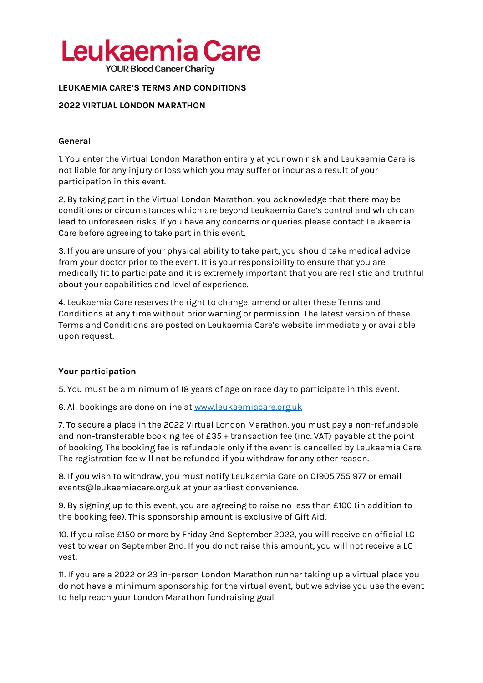# Leukaemia Care

**YOUR Blood Cancer Charity** 

## **LEUKAEMIA CARE'S TERMS AND CONDITIONS**

## **2022 VIRTUAL LONDON MARATHON**

### **General**

1. You enter the Virtual London Marathon entirely at your own risk and Leukaemia Care is not liable for any injury or loss which you may suffer or incur as a result of your participation in this event.

2. By taking part in the Virtual London Marathon, you acknowledge that there may be conditions or circumstances which are beyond Leukaemia Care's control and which can lead to unforeseen risks. If you have any concerns or queries please contact Leukaemia Care before agreeing to take part in this event.

3. If you are unsure of your physical ability to take part, you should take medical advice from your doctor prior to the event. It is your responsibility to ensure that you are medically fit to participate and it is extremely important that you are realistic and truthful about your capabilities and level of experience.

4. Leukaemia Care reserves the right to change, amend or alter these Terms and Conditions at any time without prior warning or permission. The latest version of these Terms and Conditions are posted on Leukaemia Care's website immediately or available upon request.

## **Your participation**

5. You must be a minimum of 18 years of age on race day to participate in this event.

6. All bookings are done online a[t www.leukaemiacare.org.uk](http://www.leukaemiacare.org.uk/)

7. To secure a place in the 2022 Virtual London Marathon, you must pay a non-refundable and non-transferable booking fee of £35 + transaction fee (inc. VAT) payable at the point of booking. The booking fee is refundable only if the event is cancelled by Leukaemia Care. The registration fee will not be refunded if you withdraw for any other reason.

8. If you wish to withdraw, you must notify Leukaemia Care on 01905 755 977 or email events@leukaemiacare.org.uk at your earliest convenience.

9. By signing up to this event, you are agreeing to raise no less than £100 (in addition to the booking fee). This sponsorship amount is exclusive of Gift Aid.

10. If you raise £150 or more by Friday 2nd September 2022, you will receive an official LC vest to wear on September 2nd. If you do not raise this amount, you will not receive a LC vest.

11. If you are a 2022 or 23 in-person London Marathon runner taking up a virtual place you do not have a minimum sponsorship for the virtual event, but we advise you use the event to help reach your London Marathon fundraising goal.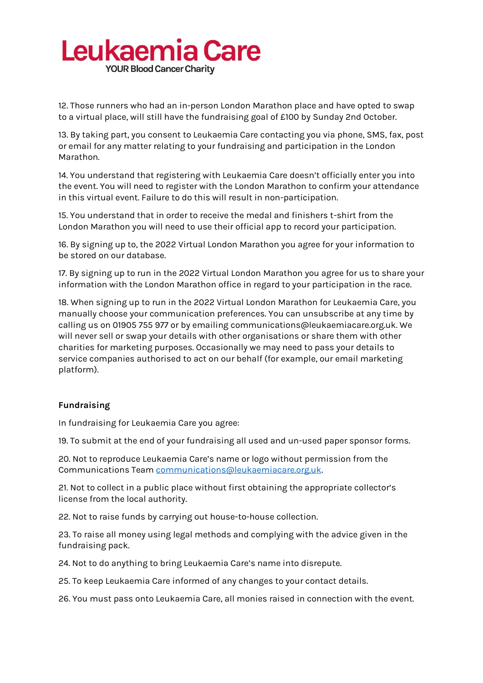# Leukaemia Care

**YOUR Blood Cancer Charity** 

12. Those runners who had an in-person London Marathon place and have opted to swap to a virtual place, will still have the fundraising goal of £100 by Sunday 2nd October.

13. By taking part, you consent to Leukaemia Care contacting you via phone, SMS, fax, post or email for any matter relating to your fundraising and participation in the London Marathon.

14. You understand that registering with Leukaemia Care doesn't officially enter you into the event. You will need to register with the London Marathon to confirm your attendance in this virtual event. Failure to do this will result in non-participation.

15. You understand that in order to receive the medal and finishers t-shirt from the London Marathon you will need to use their official app to record your participation.

16. By signing up to, the 2022 Virtual London Marathon you agree for your information to be stored on our database.

17. By signing up to run in the 2022 Virtual London Marathon you agree for us to share your information with the London Marathon office in regard to your participation in the race.

18. When signing up to run in the 2022 Virtual London Marathon for Leukaemia Care, you manually choose your communication preferences. You can unsubscribe at any time by calling us on 01905 755 977 or by emailing communications@leukaemiacare.org.uk. We will never sell or swap your details with other organisations or share them with other charities for marketing purposes. Occasionally we may need to pass your details to service companies authorised to act on our behalf (for example, our email marketing platform).

## **Fundraising**

In fundraising for Leukaemia Care you agree:

19. To submit at the end of your fundraising all used and un-used paper sponsor forms.

20. Not to reproduce Leukaemia Care's name or logo without permission from the Communications Team [communications@leukaemiacare.org.uk.](mailto:communications@leukaemiacare.org.uk)

21. Not to collect in a public place without first obtaining the appropriate collector's license from the local authority.

22. Not to raise funds by carrying out house-to-house collection.

23. To raise all money using legal methods and complying with the advice given in the fundraising pack.

24. Not to do anything to bring Leukaemia Care's name into disrepute.

25. To keep Leukaemia Care informed of any changes to your contact details.

26. You must pass onto Leukaemia Care, all monies raised in connection with the event.